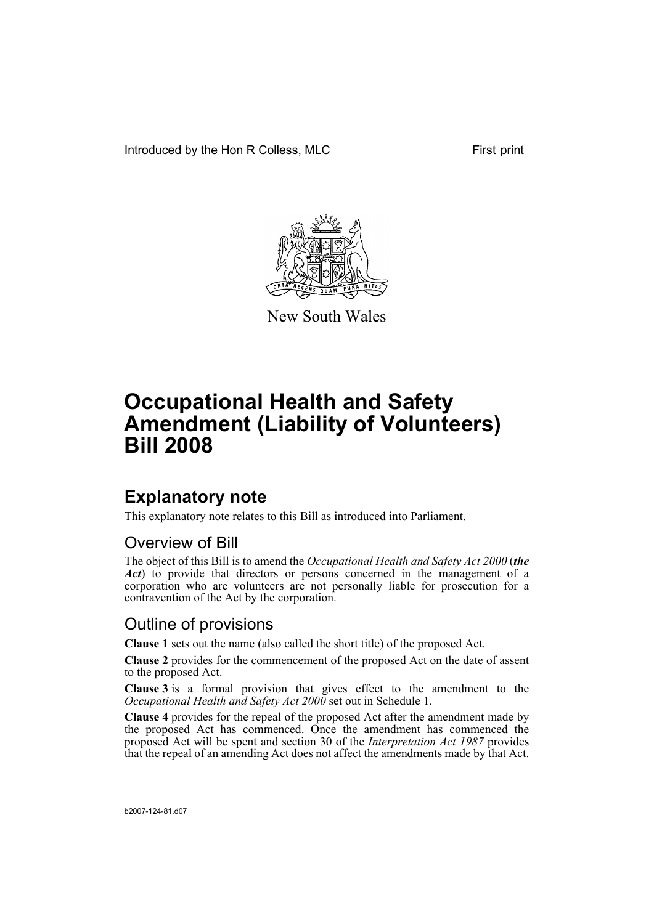Introduced by the Hon R Colless, MLC First print



New South Wales

# **Occupational Health and Safety Amendment (Liability of Volunteers) Bill 2008**

## **Explanatory note**

This explanatory note relates to this Bill as introduced into Parliament.

### Overview of Bill

The object of this Bill is to amend the *Occupational Health and Safety Act 2000* (*the Act*) to provide that directors or persons concerned in the management of a corporation who are volunteers are not personally liable for prosecution for a contravention of the Act by the corporation.

### Outline of provisions

**Clause 1** sets out the name (also called the short title) of the proposed Act.

**Clause 2** provides for the commencement of the proposed Act on the date of assent to the proposed Act.

**Clause 3** is a formal provision that gives effect to the amendment to the *Occupational Health and Safety Act 2000* set out in Schedule 1.

**Clause 4** provides for the repeal of the proposed Act after the amendment made by the proposed Act has commenced. Once the amendment has commenced the proposed Act will be spent and section 30 of the *Interpretation Act 1987* provides that the repeal of an amending Act does not affect the amendments made by that Act.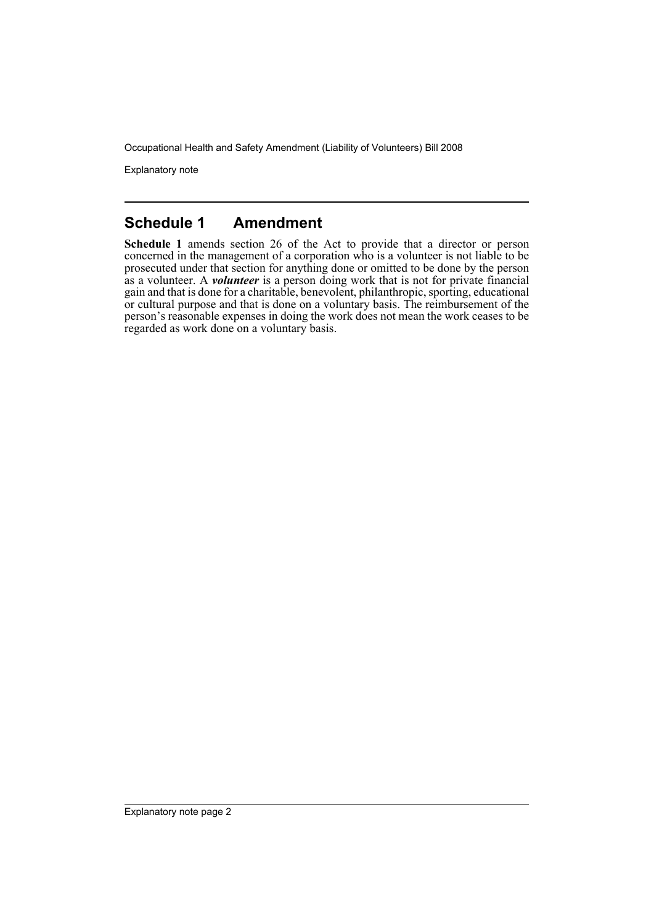Occupational Health and Safety Amendment (Liability of Volunteers) Bill 2008

Explanatory note

### **Schedule 1 Amendment**

**Schedule 1** amends section 26 of the Act to provide that a director or person concerned in the management of a corporation who is a volunteer is not liable to be prosecuted under that section for anything done or omitted to be done by the person as a volunteer. A *volunteer* is a person doing work that is not for private financial gain and that is done for a charitable, benevolent, philanthropic, sporting, educational or cultural purpose and that is done on a voluntary basis. The reimbursement of the person's reasonable expenses in doing the work does not mean the work ceases to be regarded as work done on a voluntary basis.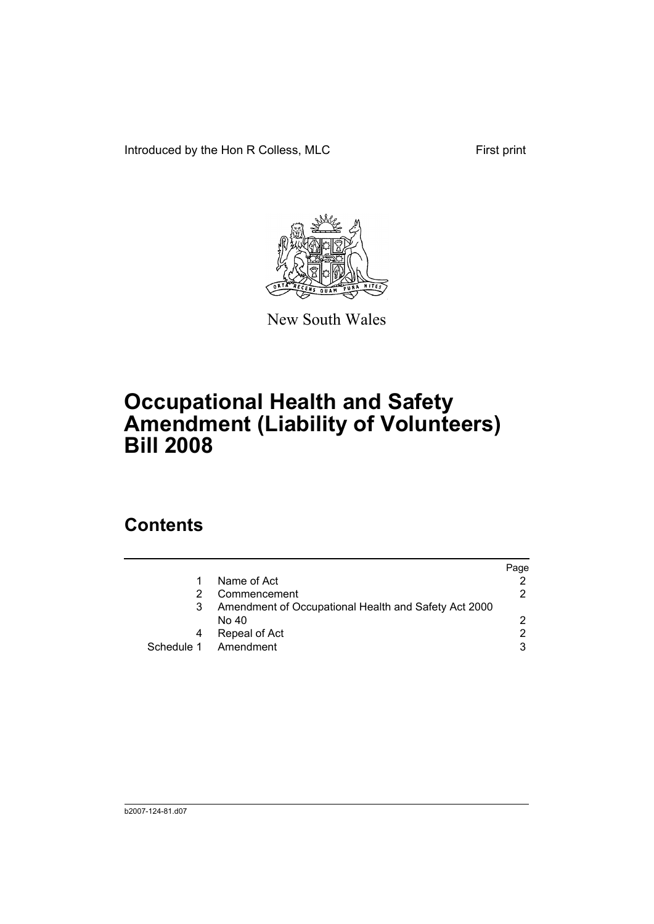Introduced by the Hon R Colless, MLC First print



New South Wales

# **Occupational Health and Safety Amendment (Liability of Volunteers) Bill 2008**

## **Contents**

|   |                                                      | Page |
|---|------------------------------------------------------|------|
|   | Name of Act                                          |      |
|   | Commencement                                         | 2    |
|   | Amendment of Occupational Health and Safety Act 2000 |      |
|   | No 40                                                | 2    |
| 4 | Repeal of Act                                        | 2    |
|   | Schedule 1 Amendment                                 | 3    |
|   |                                                      |      |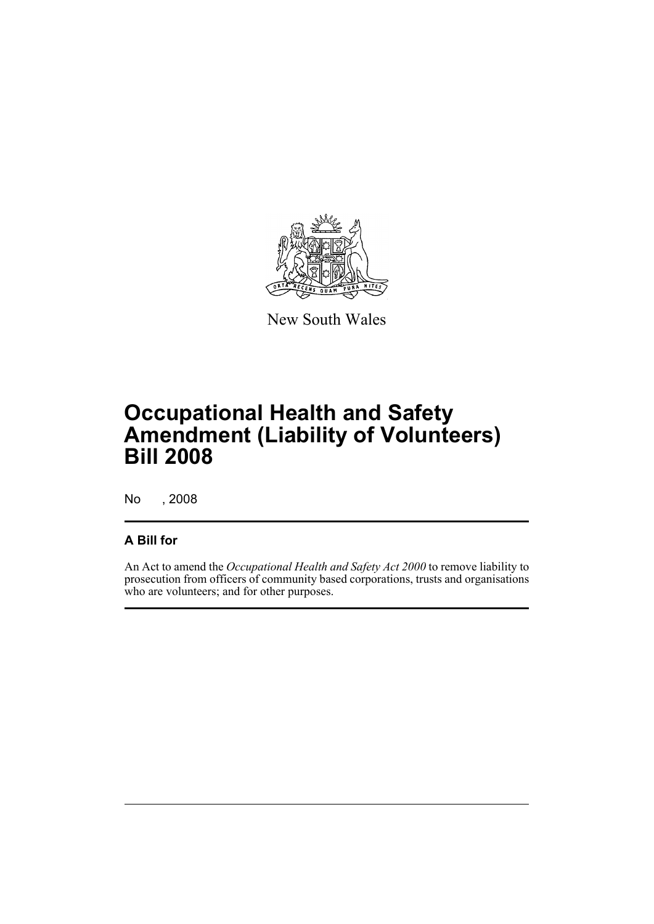

New South Wales

# **Occupational Health and Safety Amendment (Liability of Volunteers) Bill 2008**

No , 2008

#### **A Bill for**

An Act to amend the *Occupational Health and Safety Act 2000* to remove liability to prosecution from officers of community based corporations, trusts and organisations who are volunteers; and for other purposes.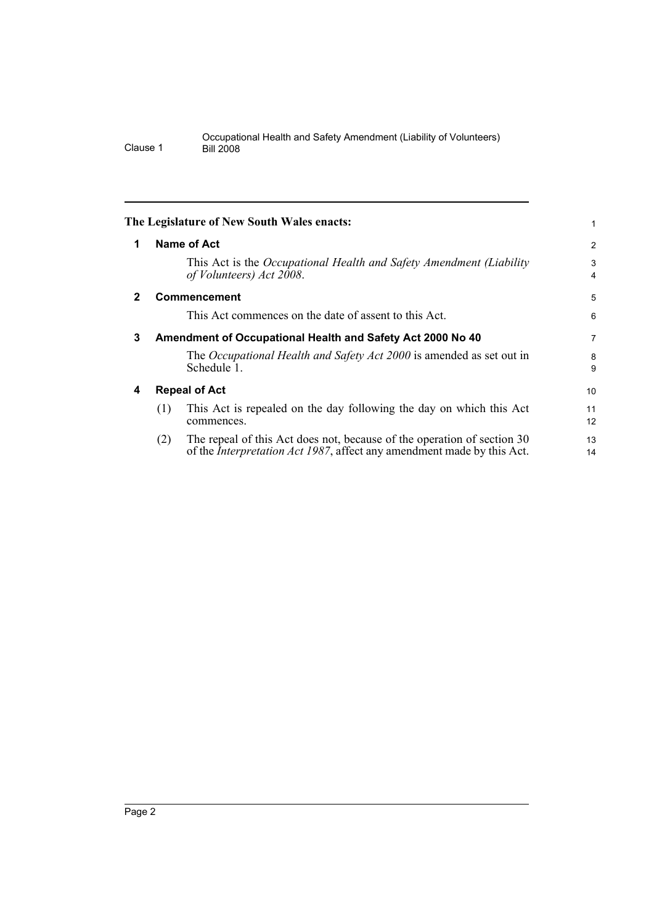<span id="page-5-3"></span><span id="page-5-2"></span><span id="page-5-1"></span><span id="page-5-0"></span>

|              | The Legislature of New South Wales enacts:                                                                                                                       | 1              |
|--------------|------------------------------------------------------------------------------------------------------------------------------------------------------------------|----------------|
| 1            | <b>Name of Act</b>                                                                                                                                               | $\overline{2}$ |
|              | This Act is the Occupational Health and Safety Amendment (Liability<br>of Volunteers) Act 2008.                                                                  | 3<br>4         |
| $\mathbf{2}$ | Commencement                                                                                                                                                     | 5              |
|              | This Act commences on the date of assent to this Act.                                                                                                            | 6              |
| 3            | Amendment of Occupational Health and Safety Act 2000 No 40                                                                                                       | 7              |
|              | The Occupational Health and Safety Act 2000 is amended as set out in<br>Schedule 1.                                                                              | 8<br>9         |
| 4            | <b>Repeal of Act</b>                                                                                                                                             | 10             |
|              | This Act is repealed on the day following the day on which this Act<br>(1)<br>commences.                                                                         | 11<br>12       |
|              | The repeal of this Act does not, because of the operation of section 30<br>(2)<br>of the <i>Interpretation Act 1987</i> , affect any amendment made by this Act. | 13<br>14       |